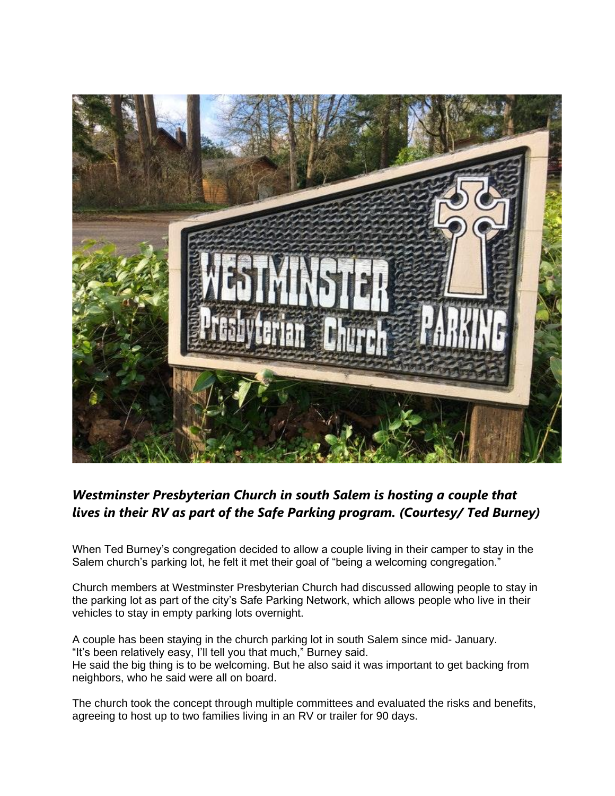

## *Westminster Presbyterian Church in south Salem is hosting a couple that lives in their RV as part of the Safe Parking program. (Courtesy/ Ted Burney)*

When Ted Burney's congregation decided to allow a couple living in their camper to stay in the Salem church's parking lot, he felt it met their goal of "being a welcoming congregation."

Church members at Westminster Presbyterian Church had discussed allowing people to stay in the parking lot as part of the city's Safe Parking Network, which allows people who live in their vehicles to stay in empty parking lots overnight[.](https://www.salemreporter.com/impression/81)

A couple has been staying in the church parking lot in south Salem since mid- January. "It's been relatively easy, I'll tell you that much," Burney said. He said the big thing is to be welcoming. But he also said it was important to get backing from neighbors, who he said were all on board.

The church took the concept through multiple committees and evaluated the risks and benefits, agreeing to host up to two families living in an RV or trailer for 90 days.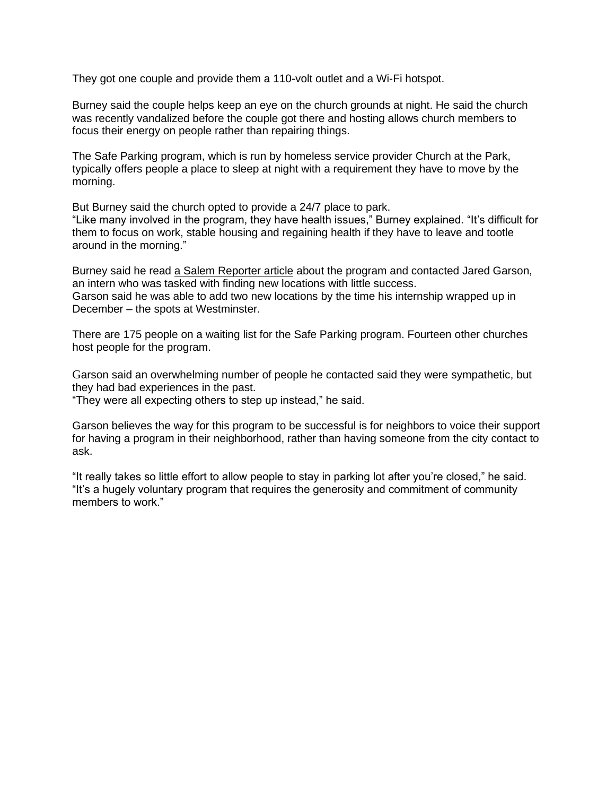They got one couple and provide them a 110-volt outlet and a Wi-Fi hotspot.

Burney said the couple helps keep an eye on the church grounds at night. He said the church was recently vandalized before the couple got there and hosting allows church members to focus their energy on people rather than repairing things.

The Safe Parking program, which is run by homeless service provider Church at the Park, typically offers people a place to sleep at night with a requirement they have to move by the morning.

But Burney said the church opted to provide a 24/7 place to park.

"Like many involved in the program, they have health issues," Burney explained. "It's difficult for them to focus on work, stable housing and regaining health if they have to leave and tootle around in the morning."

Burney said he read [a Salem Reporter article](https://www.salemreporter.com/posts/5273/a-willamette-intern-faced-pushback-trying-to-find-places-for-homeless-people-to-park-overnight) about the program and contacted Jared Garson, an intern who was tasked with finding new locations with little success. Garson said he was able to add two new locations by the time his internship wrapped up in December – the spots at Westminster.

There are 175 people on a waiting list for the Safe Parking program. Fourteen other churches host people for the program.

Garson said an overwhelming number of people he contacted said they were sympathetic, but they had bad experiences in the past.

"They were all expecting others to step up instead," he said.

Garson believes the way for this program to be successful is for neighbors to voice their support for having a program in their neighborhood, rather than having someone from the city contact to ask.

"It really takes so little effort to allow people to stay in parking lot after you're closed," he said. "It's a hugely voluntary program that requires the generosity and commitment of community members to work."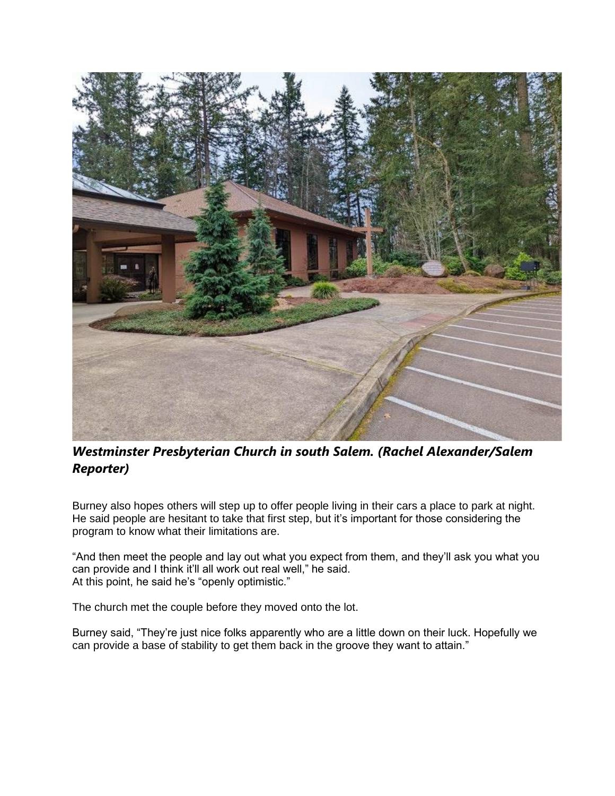

## *Westminster Presbyterian Church in south Salem. (Rachel Alexander/Salem Reporter)*

Burney also hopes others will step up to offer people living in their cars a place to park at night. He said people are hesitant to take that first step, but it's important for those considering the program to know what their limitations are.

"And then meet the people and lay out what you expect from them, and they'll ask you what you can provide and I think it'll all work out real well," he said. At this point, he said he's "openly optimistic."

The church met the couple before they moved onto the lot.

Burney said, "They're just nice folks apparently who are a little down on their luck. Hopefully we can provide a base of stability to get them back in the groove they want to attain."